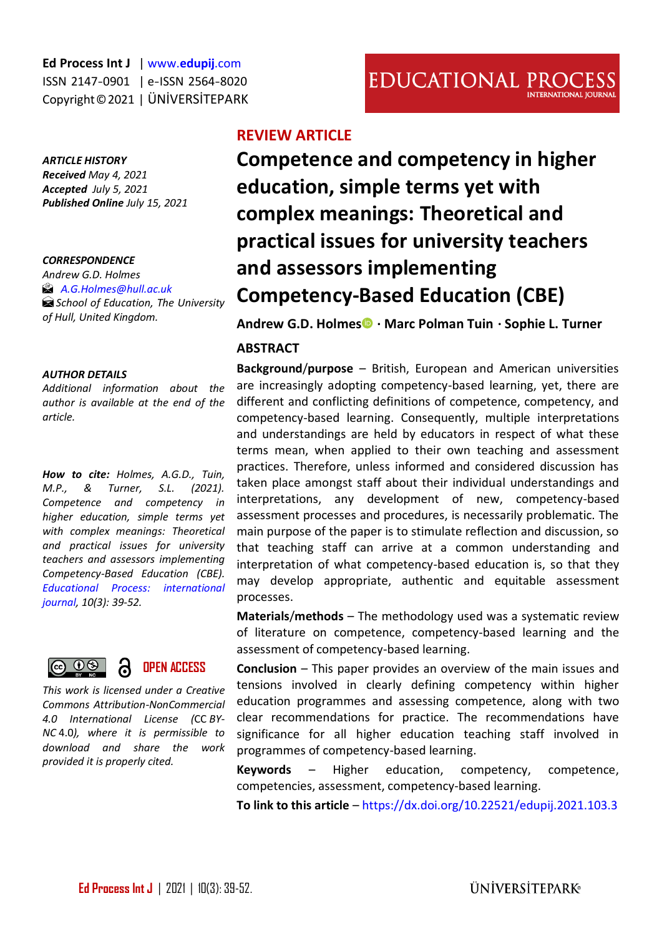#### *ARTICLE HISTORY*

*Received May 4, 2021 Accepted July 5, 2021 Published Online July 15, 2021* 

#### *CORRESPONDENCE*

*Andrew G.D. Holmes [A.G.Holmes@hull.ac.uk](mailto:A.G.Holmes@hull.ac.uk) School of Education, The University of Hull, United Kingdom.* 

#### *AUTHOR DETAILS*

*Additional information about the author is available at the end of the article.*

*How to cite: Holmes, A.G.D., Tuin, M.P., & Turner, S.L. (2021). Competence and competency in higher education, simple terms yet with complex meanings: Theoretical and practical issues for university teachers and assessors implementing Competency-Based Education (CBE). [Educational Process: international](http://edupij.com/)  [journal,](http://edupij.com/) 10(3): 39-52.*



*This work is licensed under a Creative Commons Attribution-NonCommercial 4.0 International License (*CC *BY-NC* 4.0*), where it is permissible to download and share the work provided it is properly cited.*

# **REVIEW ARTICLE**

**Competence and competency in higher education, simple terms yet with complex meanings: Theoretical and practical issues for university teachers and assessors implementing Competency-Based Education (CBE)**

**Andrew G.D. Holme[s](https://orcid.org/0000-0002-5147-0761) · Marc Polman Tuin · Sophie L. Turner**

#### **ABSTRACT**

**Background**/**purpose** – British, European and American universities are increasingly adopting competency-based learning, yet, there are different and conflicting definitions of competence, competency, and competency-based learning. Consequently, multiple interpretations and understandings are held by educators in respect of what these terms mean, when applied to their own teaching and assessment practices. Therefore, unless informed and considered discussion has taken place amongst staff about their individual understandings and interpretations, any development of new, competency-based assessment processes and procedures, is necessarily problematic. The main purpose of the paper is to stimulate reflection and discussion, so that teaching staff can arrive at a common understanding and interpretation of what competency-based education is, so that they may develop appropriate, authentic and equitable assessment processes.

**Materials**/**methods** – The methodology used was a systematic review of literature on competence, competency-based learning and the assessment of competency-based learning.

**Conclusion** – This paper provides an overview of the main issues and tensions involved in clearly defining competency within higher education programmes and assessing competence, along with two clear recommendations for practice. The recommendations have significance for all higher education teaching staff involved in programmes of competency-based learning.

**Keywords** – Higher education, competency, competence, competencies, assessment, competency-based learning.

**To link to this article** – <https://dx.doi.org/10.22521/edupij.2021.103.3>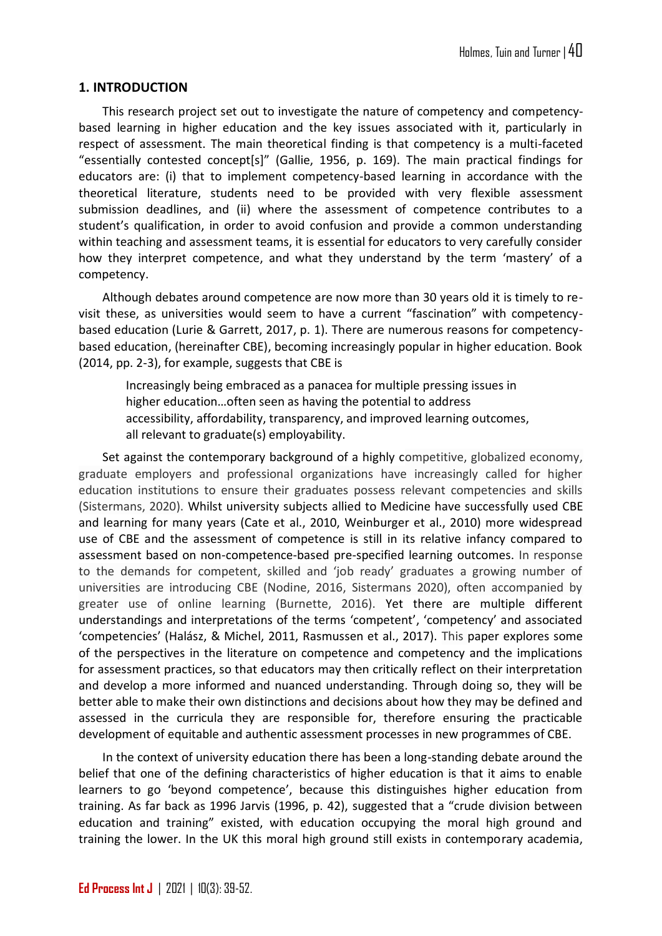#### **1. INTRODUCTION**

This research project set out to investigate the nature of competency and competencybased learning in higher education and the key issues associated with it, particularly in respect of assessment. The main theoretical finding is that competency is a multi-faceted "essentially contested concept[s]" (Gallie, 1956, p. 169). The main practical findings for educators are: (i) that to implement competency-based learning in accordance with the theoretical literature, students need to be provided with very flexible assessment submission deadlines, and (ii) where the assessment of competence contributes to a student's qualification, in order to avoid confusion and provide a common understanding within teaching and assessment teams, it is essential for educators to very carefully consider how they interpret competence, and what they understand by the term 'mastery' of a competency.

Although debates around competence are now more than 30 years old it is timely to revisit these, as universities would seem to have a current "fascination" with competencybased education (Lurie & Garrett, 2017, p. 1). There are numerous reasons for competencybased education, (hereinafter CBE), becoming increasingly popular in higher education. Book (2014, pp. 2-3), for example, suggests that CBE is

Increasingly being embraced as a panacea for multiple pressing issues in higher education…often seen as having the potential to address accessibility, affordability, transparency, and improved learning outcomes, all relevant to graduate(s) employability.

Set against the contemporary background of a highly competitive, globalized economy, graduate employers and professional organizations have increasingly called for higher education institutions to ensure their graduates possess relevant competencies and skills (Sistermans, 2020). Whilst university subjects allied to Medicine have successfully used CBE and learning for many years (Cate et al., 2010, Weinburger et al., 2010) more widespread use of CBE and the assessment of competence is still in its relative infancy compared to assessment based on non-competence-based pre-specified learning outcomes. In response to the demands for competent, skilled and 'job ready' graduates a growing number of universities are introducing CBE (Nodine, 2016, Sistermans 2020), often accompanied by greater use of online learning (Burnette, 2016). Yet there are multiple different understandings and interpretations of the terms 'competent', 'competency' and associated 'competencies' (Halász, & Michel, 2011, Rasmussen et al., 2017). This paper explores some of the perspectives in the literature on competence and competency and the implications for assessment practices, so that educators may then critically reflect on their interpretation and develop a more informed and nuanced understanding. Through doing so, they will be better able to make their own distinctions and decisions about how they may be defined and assessed in the curricula they are responsible for, therefore ensuring the practicable development of equitable and authentic assessment processes in new programmes of CBE.

In the context of university education there has been a long-standing debate around the belief that one of the defining characteristics of higher education is that it aims to enable learners to go 'beyond competence', because this distinguishes higher education from training. As far back as 1996 Jarvis (1996, p. 42), suggested that a "crude division between education and training" existed, with education occupying the moral high ground and training the lower. In the UK this moral high ground still exists in contemporary academia,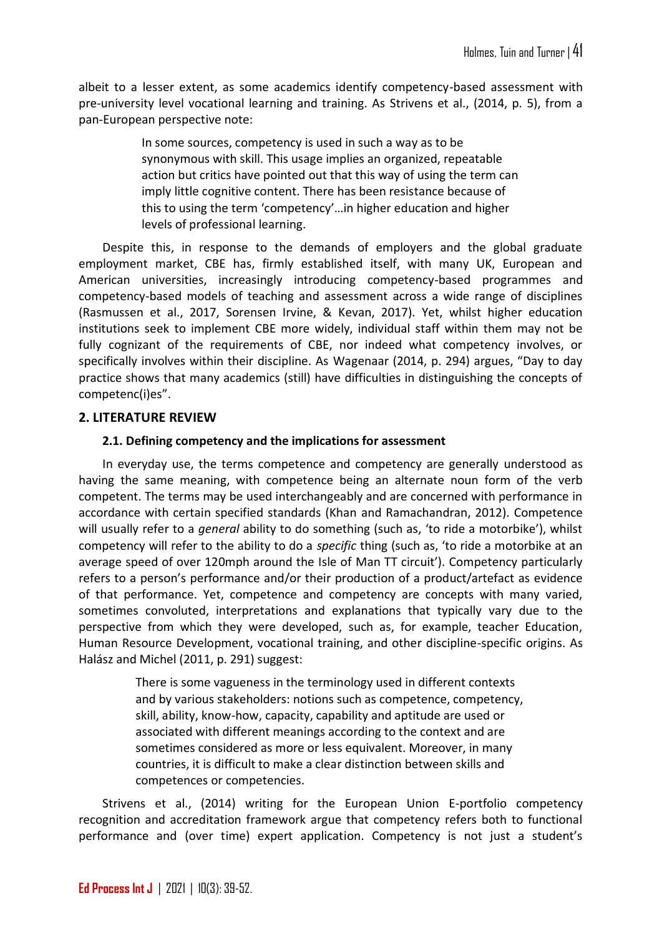albeit to a lesser extent, as some academics identify competency-based assessment with pre-university level vocational learning and training. As Strivens et al., (2014, p. 5), from a pan-European perspective note:

> In some sources, competency is used in such a way as to be synonymous with skill. This usage implies an organized, repeatable action but critics have pointed out that this way of using the term can imply little cognitive content. There has been resistance because of this to using the term 'competency'…in higher education and higher levels of professional learning.

Despite this, in response to the demands of employers and the global graduate employment market, CBE has, firmly established itself, with many UK, European and American universities, increasingly introducing competency-based programmes and competency-based models of teaching and assessment across a wide range of disciplines (Rasmussen et al., 2017, Sorensen Irvine, & Kevan, 2017). Yet, whilst higher education institutions seek to implement CBE more widely, individual staff within them may not be fully cognizant of the requirements of CBE, nor indeed what competency involves, or specifically involves within their discipline. As Wagenaar (2014, p. 294) argues, "Day to day practice shows that many academics (still) have difficulties in distinguishing the concepts of competenc(i)es".

### **2. LITERATURE REVIEW**

### **2.1. Defining competency and the implications for assessment**

In everyday use, the terms competence and competency are generally understood as having the same meaning, with competence being an alternate noun form of the verb competent. The terms may be used interchangeably and are concerned with performance in accordance with certain specified standards (Khan and Ramachandran, 2012). Competence will usually refer to a *general* ability to do something (such as, 'to ride a motorbike'), whilst competency will refer to the ability to do a *specific* thing (such as, 'to ride a motorbike at an average speed of over 120mph around the Isle of Man TT circuit'). Competency particularly refers to a person's performance and/or their production of a product/artefact as evidence of that performance. Yet, competence and competency are concepts with many varied, sometimes convoluted, interpretations and explanations that typically vary due to the perspective from which they were developed, such as, for example, teacher Education, Human Resource Development, vocational training, and other discipline-specific origins. As Halász and Michel (2011, p. 291) suggest:

> There is some vagueness in the terminology used in different contexts and by various stakeholders: notions such as competence, competency, skill, ability, know-how, capacity, capability and aptitude are used or associated with different meanings according to the context and are sometimes considered as more or less equivalent. Moreover, in many countries, it is difficult to make a clear distinction between skills and competences or competencies.

Strivens et al., (2014) writing for the European Union E-portfolio competency recognition and accreditation framework argue that competency refers both to functional performance and (over time) expert application. Competency is not just a student's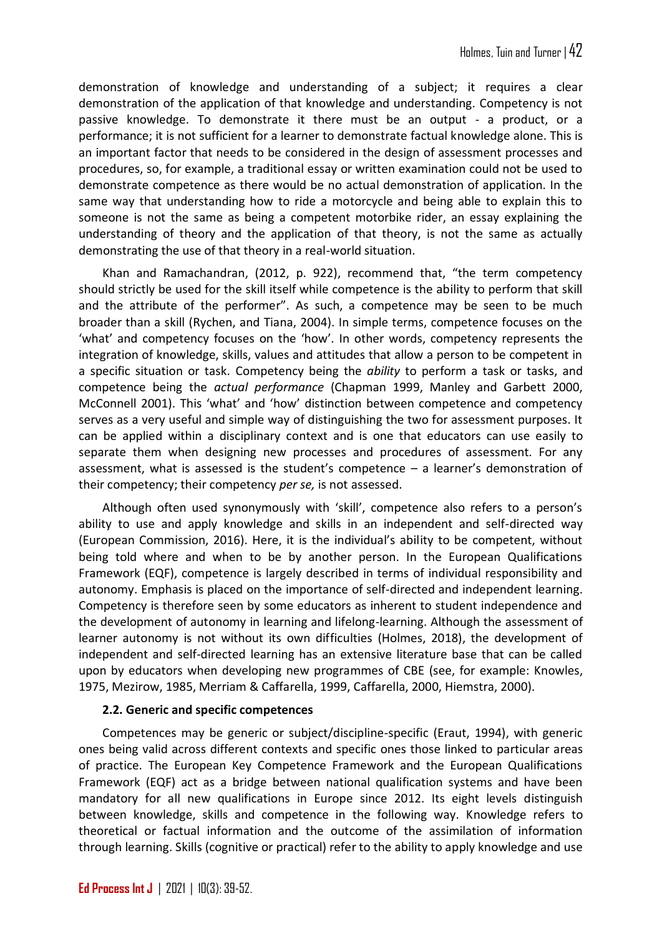demonstration of knowledge and understanding of a subject; it requires a clear demonstration of the application of that knowledge and understanding. Competency is not passive knowledge. To demonstrate it there must be an output - a product, or a performance; it is not sufficient for a learner to demonstrate factual knowledge alone. This is an important factor that needs to be considered in the design of assessment processes and procedures, so, for example, a traditional essay or written examination could not be used to demonstrate competence as there would be no actual demonstration of application. In the same way that understanding how to ride a motorcycle and being able to explain this to someone is not the same as being a competent motorbike rider, an essay explaining the understanding of theory and the application of that theory, is not the same as actually demonstrating the use of that theory in a real-world situation.

Khan and Ramachandran, (2012, p. 922), recommend that, "the term competency should strictly be used for the skill itself while competence is the ability to perform that skill and the attribute of the performer". As such, a competence may be seen to be much broader than a skill (Rychen, and Tiana, 2004). In simple terms, competence focuses on the 'what' and competency focuses on the 'how'. In other words, competency represents the integration of knowledge, skills, values and attitudes that allow a person to be competent in a specific situation or task. Competency being the *ability* to perform a task or tasks, and competence being the *actual performance* (Chapman 1999, Manley and Garbett 2000, McConnell 2001). This 'what' and 'how' distinction between competence and competency serves as a very useful and simple way of distinguishing the two for assessment purposes. It can be applied within a disciplinary context and is one that educators can use easily to separate them when designing new processes and procedures of assessment. For any assessment, what is assessed is the student's competence – a learner's demonstration of their competency; their competency *per se,* is not assessed.

Although often used synonymously with 'skill', competence also refers to a person's ability to use and apply knowledge and skills in an independent and self-directed way (European Commission, 2016). Here, it is the individual's ability to be competent, without being told where and when to be by another person. In the European Qualifications Framework (EQF), competence is largely described in terms of individual responsibility and autonomy. Emphasis is placed on the importance of self-directed and independent learning. Competency is therefore seen by some educators as inherent to student independence and the development of autonomy in learning and lifelong-learning. Although the assessment of learner autonomy is not without its own difficulties (Holmes, 2018), the development of independent and self-directed learning has an extensive literature base that can be called upon by educators when developing new programmes of CBE (see, for example: Knowles, 1975, Mezirow, 1985, Merriam & Caffarella, 1999, Caffarella, 2000, Hiemstra, 2000).

### **2.2. Generic and specific competences**

Competences may be generic or subject/discipline-specific (Eraut, 1994), with generic ones being valid across different contexts and specific ones those linked to particular areas of practice. The European Key Competence Framework and the European Qualifications Framework (EQF) act as a bridge between national qualification systems and have been mandatory for all new qualifications in Europe since 2012. Its eight levels distinguish between knowledge, skills and competence in the following way. Knowledge refers to theoretical or factual information and the outcome of the assimilation of information through learning. Skills (cognitive or practical) refer to the ability to apply knowledge and use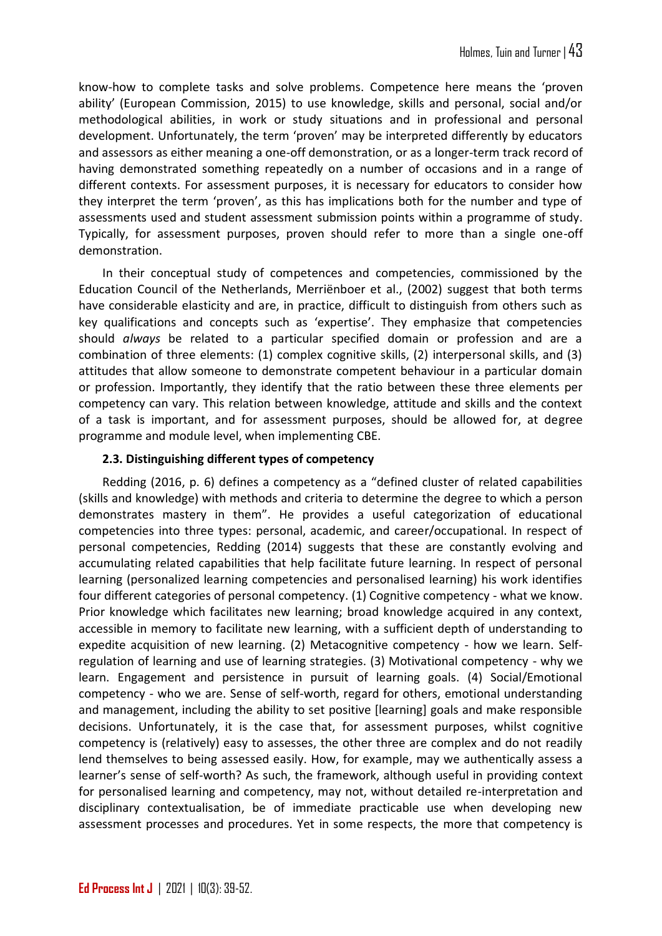know-how to complete tasks and solve problems. Competence here means the 'proven ability' (European Commission, 2015) to use knowledge, skills and personal, social and/or methodological abilities, in work or study situations and in professional and personal development. Unfortunately, the term 'proven' may be interpreted differently by educators and assessors as either meaning a one-off demonstration, or as a longer-term track record of having demonstrated something repeatedly on a number of occasions and in a range of different contexts. For assessment purposes, it is necessary for educators to consider how they interpret the term 'proven', as this has implications both for the number and type of assessments used and student assessment submission points within a programme of study. Typically, for assessment purposes, proven should refer to more than a single one-off demonstration.

In their conceptual study of competences and competencies, commissioned by the Education Council of the Netherlands, Merriënboer et al., (2002) suggest that both terms have considerable elasticity and are, in practice, difficult to distinguish from others such as key qualifications and concepts such as 'expertise'. They emphasize that competencies should *always* be related to a particular specified domain or profession and are a combination of three elements: (1) complex cognitive skills, (2) interpersonal skills, and (3) attitudes that allow someone to demonstrate competent behaviour in a particular domain or profession. Importantly, they identify that the ratio between these three elements per competency can vary. This relation between knowledge, attitude and skills and the context of a task is important, and for assessment purposes, should be allowed for, at degree programme and module level, when implementing CBE.

### **2.3. Distinguishing different types of competency**

Redding (2016, p. 6) defines a competency as a "defined cluster of related capabilities (skills and knowledge) with methods and criteria to determine the degree to which a person demonstrates mastery in them". He provides a useful categorization of educational competencies into three types: personal, academic, and career/occupational. In respect of personal competencies, Redding (2014) suggests that these are constantly evolving and accumulating related capabilities that help facilitate future learning. In respect of personal learning (personalized learning competencies and personalised learning) his work identifies four different categories of personal competency. (1) Cognitive competency - what we know. Prior knowledge which facilitates new learning; broad knowledge acquired in any context, accessible in memory to facilitate new learning, with a sufficient depth of understanding to expedite acquisition of new learning. (2) Metacognitive competency - how we learn. Selfregulation of learning and use of learning strategies. (3) Motivational competency - why we learn. Engagement and persistence in pursuit of learning goals. (4) Social/Emotional competency - who we are. Sense of self-worth, regard for others, emotional understanding and management, including the ability to set positive [learning] goals and make responsible decisions. Unfortunately, it is the case that, for assessment purposes, whilst cognitive competency is (relatively) easy to assesses, the other three are complex and do not readily lend themselves to being assessed easily. How, for example, may we authentically assess a learner's sense of self-worth? As such, the framework, although useful in providing context for personalised learning and competency, may not, without detailed re-interpretation and disciplinary contextualisation, be of immediate practicable use when developing new assessment processes and procedures. Yet in some respects, the more that competency is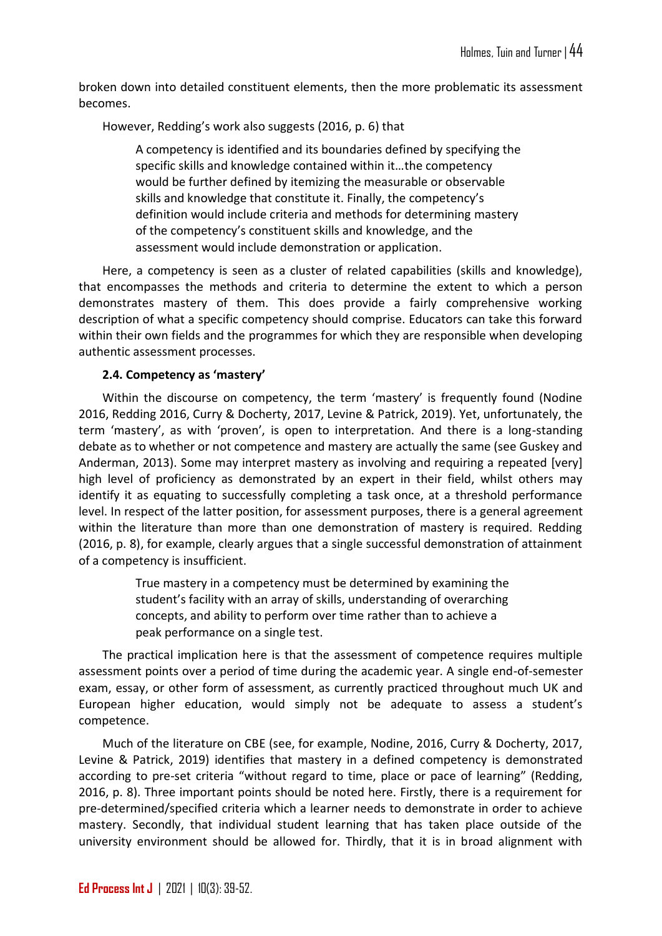broken down into detailed constituent elements, then the more problematic its assessment becomes.

However, Redding's work also suggests (2016, p. 6) that

A competency is identified and its boundaries defined by specifying the specific skills and knowledge contained within it…the competency would be further defined by itemizing the measurable or observable skills and knowledge that constitute it. Finally, the competency's definition would include criteria and methods for determining mastery of the competency's constituent skills and knowledge, and the assessment would include demonstration or application.

Here, a competency is seen as a cluster of related capabilities (skills and knowledge), that encompasses the methods and criteria to determine the extent to which a person demonstrates mastery of them. This does provide a fairly comprehensive working description of what a specific competency should comprise. Educators can take this forward within their own fields and the programmes for which they are responsible when developing authentic assessment processes.

#### **2.4. Competency as 'mastery'**

Within the discourse on competency, the term 'mastery' is frequently found (Nodine 2016, Redding 2016, Curry & Docherty, 2017, Levine & Patrick, 2019). Yet, unfortunately, the term 'mastery', as with 'proven', is open to interpretation. And there is a long-standing debate as to whether or not competence and mastery are actually the same (see Guskey and Anderman, 2013). Some may interpret mastery as involving and requiring a repeated [very] high level of proficiency as demonstrated by an expert in their field, whilst others may identify it as equating to successfully completing a task once, at a threshold performance level. In respect of the latter position, for assessment purposes, there is a general agreement within the literature than more than one demonstration of mastery is required. Redding (2016, p. 8), for example, clearly argues that a single successful demonstration of attainment of a competency is insufficient.

> True mastery in a competency must be determined by examining the student's facility with an array of skills, understanding of overarching concepts, and ability to perform over time rather than to achieve a peak performance on a single test.

The practical implication here is that the assessment of competence requires multiple assessment points over a period of time during the academic year. A single end-of-semester exam, essay, or other form of assessment, as currently practiced throughout much UK and European higher education, would simply not be adequate to assess a student's competence.

Much of the literature on CBE (see, for example, Nodine, 2016, Curry & Docherty, 2017, Levine & Patrick, 2019) identifies that mastery in a defined competency is demonstrated according to pre-set criteria "without regard to time, place or pace of learning" (Redding, 2016, p. 8). Three important points should be noted here. Firstly, there is a requirement for pre-determined/specified criteria which a learner needs to demonstrate in order to achieve mastery. Secondly, that individual student learning that has taken place outside of the university environment should be allowed for. Thirdly, that it is in broad alignment with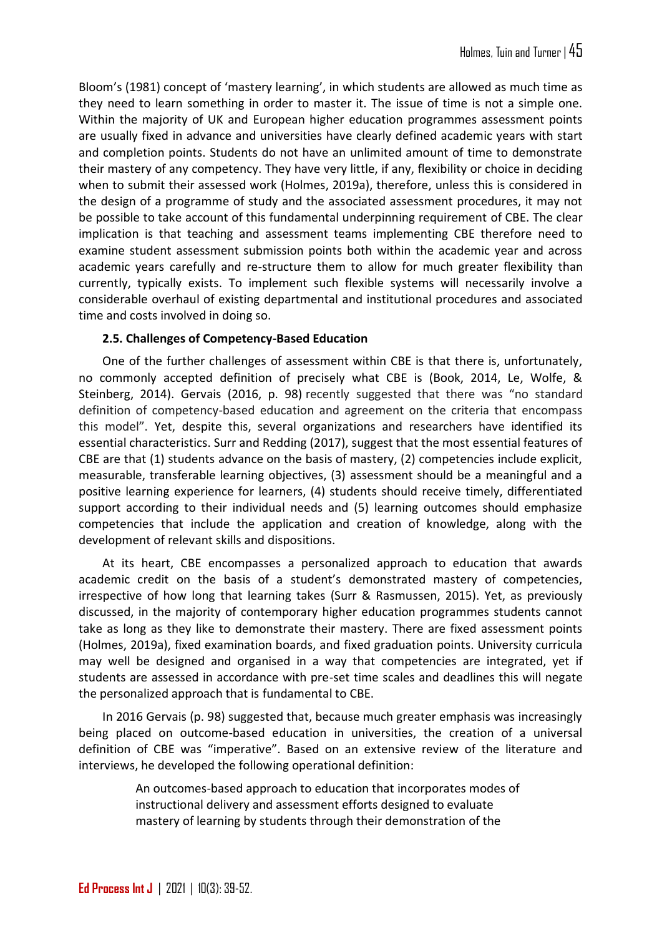Bloom's (1981) concept of 'mastery learning', in which students are allowed as much time as they need to learn something in order to master it. The issue of time is not a simple one. Within the majority of UK and European higher education programmes assessment points are usually fixed in advance and universities have clearly defined academic years with start and completion points. Students do not have an unlimited amount of time to demonstrate their mastery of any competency. They have very little, if any, flexibility or choice in deciding when to submit their assessed work (Holmes, 2019a), therefore, unless this is considered in the design of a programme of study and the associated assessment procedures, it may not be possible to take account of this fundamental underpinning requirement of CBE. The clear implication is that teaching and assessment teams implementing CBE therefore need to examine student assessment submission points both within the academic year and across academic years carefully and re-structure them to allow for much greater flexibility than currently, typically exists. To implement such flexible systems will necessarily involve a considerable overhaul of existing departmental and institutional procedures and associated time and costs involved in doing so.

### **2.5. Challenges of Competency-Based Education**

One of the further challenges of assessment within CBE is that there is, unfortunately, no commonly accepted definition of precisely what CBE is (Book, 2014, Le, Wolfe, & Steinberg, 2014). Gervais (2016, p. 98) recently suggested that there was "no standard definition of competency‐based education and agreement on the criteria that encompass this model". Yet, despite this, several organizations and researchers have identified its essential characteristics. Surr and Redding (2017), suggest that the most essential features of CBE are that (1) students advance on the basis of mastery, (2) competencies include explicit, measurable, transferable learning objectives, (3) assessment should be a meaningful and a positive learning experience for learners, (4) students should receive timely, differentiated support according to their individual needs and (5) learning outcomes should emphasize competencies that include the application and creation of knowledge, along with the development of relevant skills and dispositions.

At its heart, CBE encompasses a personalized approach to education that awards academic credit on the basis of a student's demonstrated mastery of competencies, irrespective of how long that learning takes (Surr & Rasmussen, 2015). Yet, as previously discussed, in the majority of contemporary higher education programmes students cannot take as long as they like to demonstrate their mastery. There are fixed assessment points (Holmes, 2019a), fixed examination boards, and fixed graduation points. University curricula may well be designed and organised in a way that competencies are integrated, yet if students are assessed in accordance with pre-set time scales and deadlines this will negate the personalized approach that is fundamental to CBE.

In 2016 Gervais (p. 98) suggested that, because much greater emphasis was increasingly being placed on outcome-based education in universities, the creation of a universal definition of CBE was "imperative". Based on an extensive review of the literature and interviews, he developed the following operational definition:

> An outcomes-based approach to education that incorporates modes of instructional delivery and assessment efforts designed to evaluate mastery of learning by students through their demonstration of the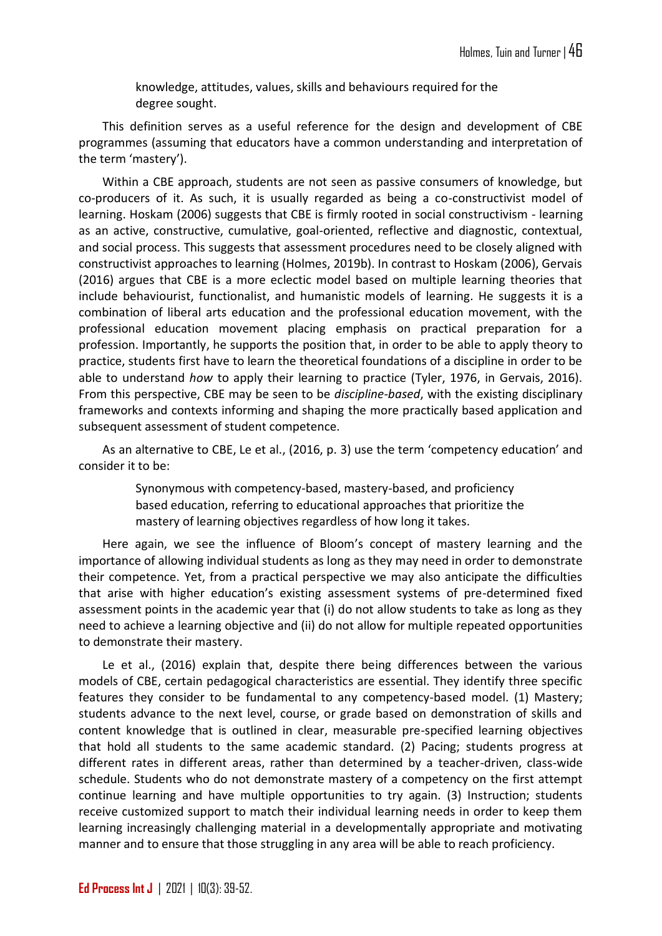knowledge, attitudes, values, skills and behaviours required for the degree sought.

This definition serves as a useful reference for the design and development of CBE programmes (assuming that educators have a common understanding and interpretation of the term 'mastery').

Within a CBE approach, students are not seen as passive consumers of knowledge, but co-producers of it. As such, it is usually regarded as being a co-constructivist model of learning. Hoskam (2006) suggests that CBE is firmly rooted in social constructivism - learning as an active, constructive, cumulative, goal-oriented, reflective and diagnostic, contextual, and social process. This suggests that assessment procedures need to be closely aligned with constructivist approaches to learning (Holmes, 2019b). In contrast to Hoskam (2006), Gervais (2016) argues that CBE is a more eclectic model based on multiple learning theories that include behaviourist, functionalist, and humanistic models of learning. He suggests it is a combination of liberal arts education and the professional education movement, with the professional education movement placing emphasis on practical preparation for a profession. Importantly, he supports the position that, in order to be able to apply theory to practice, students first have to learn the theoretical foundations of a discipline in order to be able to understand *how* to apply their learning to practice (Tyler, 1976, in Gervais, 2016). From this perspective, CBE may be seen to be *discipline-based*, with the existing disciplinary frameworks and contexts informing and shaping the more practically based application and subsequent assessment of student competence.

As an alternative to CBE, Le et al., (2016, p. 3) use the term 'competency education' and consider it to be:

> Synonymous with competency-based, mastery-based, and proficiency based education, referring to educational approaches that prioritize the mastery of learning objectives regardless of how long it takes.

Here again, we see the influence of Bloom's concept of mastery learning and the importance of allowing individual students as long as they may need in order to demonstrate their competence. Yet, from a practical perspective we may also anticipate the difficulties that arise with higher education's existing assessment systems of pre-determined fixed assessment points in the academic year that (i) do not allow students to take as long as they need to achieve a learning objective and (ii) do not allow for multiple repeated opportunities to demonstrate their mastery.

Le et al., (2016) explain that, despite there being differences between the various models of CBE, certain pedagogical characteristics are essential. They identify three specific features they consider to be fundamental to any competency-based model. (1) Mastery; students advance to the next level, course, or grade based on demonstration of skills and content knowledge that is outlined in clear, measurable pre-specified learning objectives that hold all students to the same academic standard. (2) Pacing; students progress at different rates in different areas, rather than determined by a teacher-driven, class-wide schedule. Students who do not demonstrate mastery of a competency on the first attempt continue learning and have multiple opportunities to try again. (3) Instruction; students receive customized support to match their individual learning needs in order to keep them learning increasingly challenging material in a developmentally appropriate and motivating manner and to ensure that those struggling in any area will be able to reach proficiency.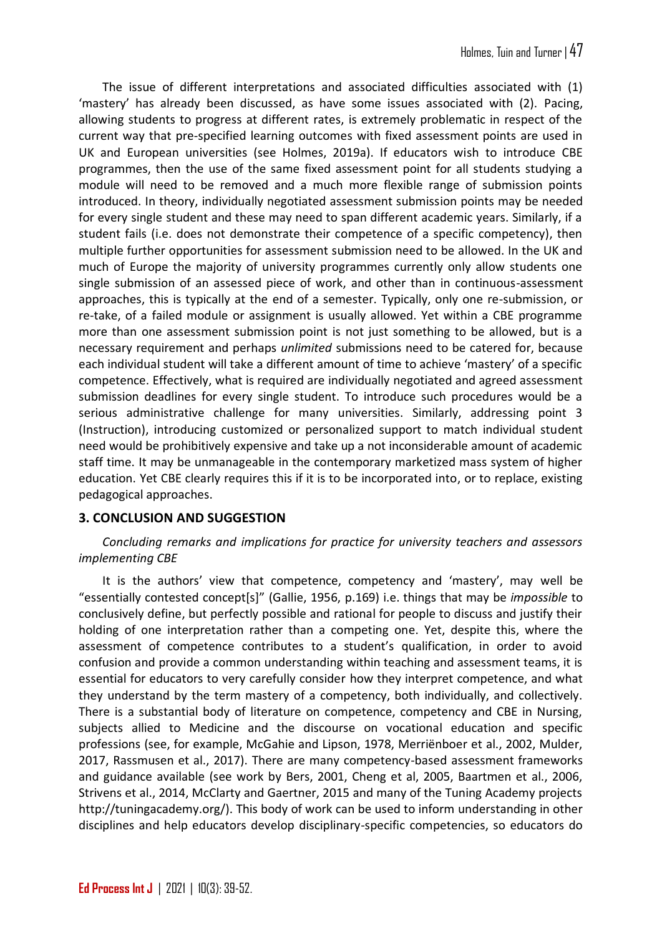The issue of different interpretations and associated difficulties associated with (1) 'mastery' has already been discussed, as have some issues associated with (2). Pacing, allowing students to progress at different rates, is extremely problematic in respect of the current way that pre-specified learning outcomes with fixed assessment points are used in UK and European universities (see Holmes, 2019a). If educators wish to introduce CBE programmes, then the use of the same fixed assessment point for all students studying a module will need to be removed and a much more flexible range of submission points introduced. In theory, individually negotiated assessment submission points may be needed for every single student and these may need to span different academic years. Similarly, if a student fails (i.e. does not demonstrate their competence of a specific competency), then multiple further opportunities for assessment submission need to be allowed. In the UK and much of Europe the majority of university programmes currently only allow students one single submission of an assessed piece of work, and other than in continuous-assessment approaches, this is typically at the end of a semester. Typically, only one re-submission, or re-take, of a failed module or assignment is usually allowed. Yet within a CBE programme more than one assessment submission point is not just something to be allowed, but is a necessary requirement and perhaps *unlimited* submissions need to be catered for, because each individual student will take a different amount of time to achieve 'mastery' of a specific competence. Effectively, what is required are individually negotiated and agreed assessment submission deadlines for every single student. To introduce such procedures would be a serious administrative challenge for many universities. Similarly, addressing point 3 (Instruction), introducing customized or personalized support to match individual student need would be prohibitively expensive and take up a not inconsiderable amount of academic staff time. It may be unmanageable in the contemporary marketized mass system of higher education. Yet CBE clearly requires this if it is to be incorporated into, or to replace, existing pedagogical approaches.

# **3. CONCLUSION AND SUGGESTION**

*Concluding remarks and implications for practice for university teachers and assessors implementing CBE*

It is the authors' view that competence, competency and 'mastery', may well be "essentially contested concept[s]" (Gallie, 1956, p.169) i.e. things that may be *impossible* to conclusively define, but perfectly possible and rational for people to discuss and justify their holding of one interpretation rather than a competing one. Yet, despite this, where the assessment of competence contributes to a student's qualification, in order to avoid confusion and provide a common understanding within teaching and assessment teams, it is essential for educators to very carefully consider how they interpret competence, and what they understand by the term mastery of a competency, both individually, and collectively. There is a substantial body of literature on competence, competency and CBE in Nursing, subjects allied to Medicine and the discourse on vocational education and specific professions (see, for example, McGahie and Lipson, 1978, Merriënboer et al., 2002, Mulder, 2017, Rassmusen et al., 2017). There are many competency-based assessment frameworks and guidance available (see work by Bers, 2001, Cheng et al, 2005, Baartmen et al., 2006, Strivens et al., 2014, McClarty and Gaertner, 2015 and many of the Tuning Academy projects [http://tuningacademy.org/\)](http://tuningacademy.org/). This body of work can be used to inform understanding in other disciplines and help educators develop disciplinary-specific competencies, so educators do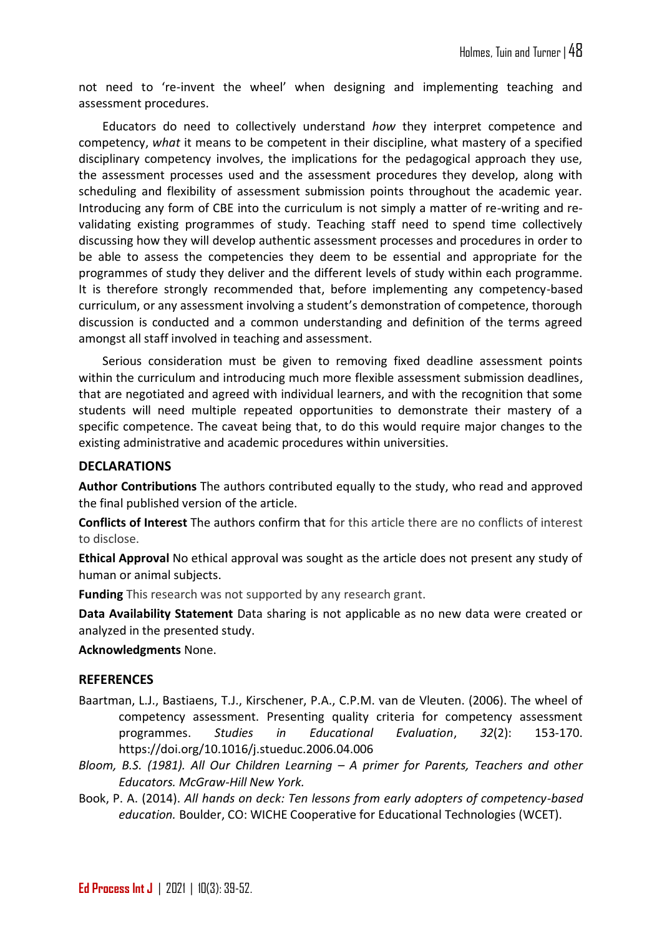not need to 're-invent the wheel' when designing and implementing teaching and assessment procedures.

Educators do need to collectively understand *how* they interpret competence and competency, *what* it means to be competent in their discipline, what mastery of a specified disciplinary competency involves, the implications for the pedagogical approach they use, the assessment processes used and the assessment procedures they develop, along with scheduling and flexibility of assessment submission points throughout the academic year. Introducing any form of CBE into the curriculum is not simply a matter of re-writing and revalidating existing programmes of study. Teaching staff need to spend time collectively discussing how they will develop authentic assessment processes and procedures in order to be able to assess the competencies they deem to be essential and appropriate for the programmes of study they deliver and the different levels of study within each programme. It is therefore strongly recommended that, before implementing any competency-based curriculum, or any assessment involving a student's demonstration of competence, thorough discussion is conducted and a common understanding and definition of the terms agreed amongst all staff involved in teaching and assessment.

Serious consideration must be given to removing fixed deadline assessment points within the curriculum and introducing much more flexible assessment submission deadlines, that are negotiated and agreed with individual learners, and with the recognition that some students will need multiple repeated opportunities to demonstrate their mastery of a specific competence. The caveat being that, to do this would require major changes to the existing administrative and academic procedures within universities.

### **DECLARATIONS**

**Author Contributions** The authors contributed equally to the study, who read and approved the final published version of the article.

**Conflicts of Interest** The authors confirm that for this article there are no conflicts of interest to disclose.

**Ethical Approval** No ethical approval was sought as the article does not present any study of human or animal subjects.

**Funding** This research was not supported by any research grant.

**Data Availability Statement** Data sharing is not applicable as no new data were created or analyzed in the presented study.

### **Acknowledgments** None.

### **REFERENCES**

- Baartman, L.J., Bastiaens, T.J., Kirschener, P.A., C.P.M. van de Vleuten. (2006). The wheel of competency assessment. Presenting quality criteria for competency assessment programmes. *Studies in Educational Evaluation*, *32*(2): 153-170. <https://doi.org/10.1016/j.stueduc.2006.04.006>
- *Bloom, B.S. (1981). All Our Children Learning – A primer for Parents, Teachers and other Educators. McGraw-Hill New York.*
- Book, P. A. (2014). *All hands on deck: Ten lessons from early adopters of competency-based education.* Boulder, CO: WICHE Cooperative for Educational Technologies (WCET).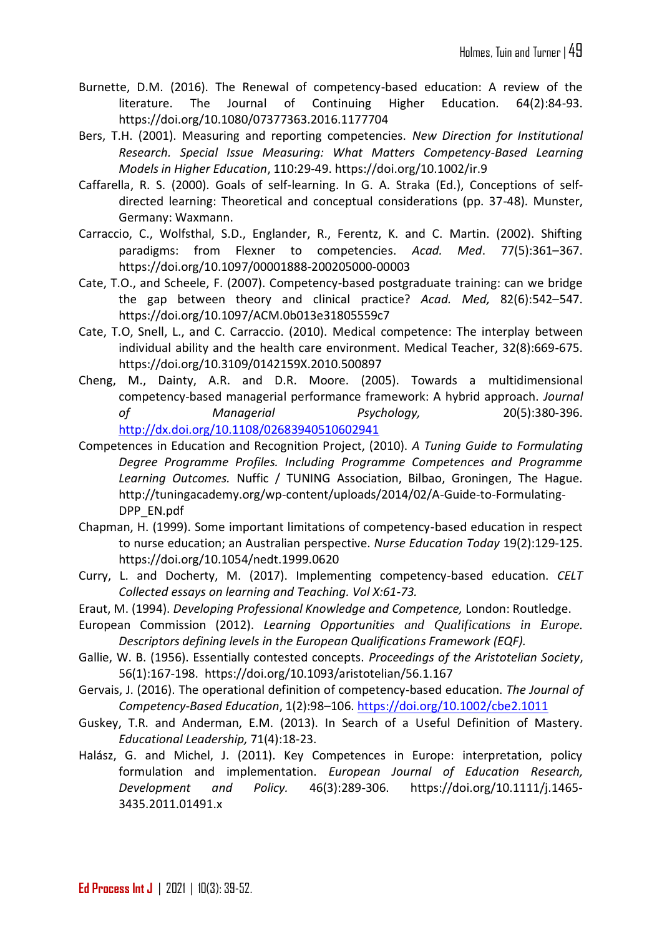- Burnette, D.M. (2016). The Renewal of competency-based education: A review of the literature. The Journal of Continuing Higher Education. 64(2):84-93. <https://doi.org/10.1080/07377363.2016.1177704>
- Bers, T.H. (2001). Measuring and reporting competencies. *New Direction for Institutional Research. Special Issue Measuring: What Matters Competency-Based Learning Models in Higher Education*, 110:29-49.<https://doi.org/10.1002/ir.9>
- Caffarella, R. S. (2000). Goals of self-learning. In G. A. Straka (Ed.), Conceptions of selfdirected learning: Theoretical and conceptual considerations (pp. 37-48). Munster, Germany: Waxmann.
- Carraccio, C., Wolfsthal, S.D., Englander, R., Ferentz, K. and C. Martin. (2002). Shifting paradigms: from Flexner to competencies. *Acad. Med*. 77(5):361–367. https://doi.org[/10.1097/00001888-200205000-00003](https://doi.org/10.1097/00001888-200205000-00003)
- Cate, T.O., and Scheele, F. (2007). Competency-based postgraduate training: can we bridge the gap between theory and clinical practice? *Acad. Med,* 82(6):542–547. https://doi.org[/10.1097/ACM.0b013e31805559c7](https://doi.org/10.1097/acm.0b013e31805559c7)
- Cate, T.O, Snell, L., and C. Carraccio. (2010). Medical competence: The interplay between individual ability and the health care environment. Medical Teacher, 32(8):669-675. https://doi.org[/10.3109/0142159X.2010.500897](https://doi.org/10.3109/0142159x.2010.500897)
- Cheng, M., Dainty, A.R. and D.R. Moore. (2005). Towards a multidimensional competency‐based managerial performance framework: A hybrid approach. *Journal of Managerial Psychology,* 20(5):380-396. <http://dx.doi.org/10.1108/02683940510602941>
- Competences in Education and Recognition Project, (2010). *A Tuning Guide to Formulating Degree Programme Profiles. Including Programme Competences and Programme Learning Outcomes.* Nuffic / TUNING Association, Bilbao, Groningen, The Hague. [http://tuningacademy.org/wp-content/uploads/2014/02/A-Guide-to-Formulating-](http://tuningacademy.org/wp-content/uploads/2014/02/A-Guide-to-Formulating-DPP_EN.pdf)[DPP\\_EN.pdf](http://tuningacademy.org/wp-content/uploads/2014/02/A-Guide-to-Formulating-DPP_EN.pdf)
- Chapman, H. (1999). Some important limitations of competency-based education in respect to nurse education; an Australian perspective. *Nurse Education Today* 19(2):129-125. https://doi.org[/10.1054/nedt.1999.0620](https://doi.org/10.1054/nedt.1999.0620)
- Curry, L. and Docherty, M. (2017). Implementing competency-based education. *CELT Collected essays on learning and Teaching. Vol X:61-73.*
- Eraut, M. (1994). *Developing Professional Knowledge and Competence,* London: Routledge.
- European Commission (2012). *Learning Opportunities and Qualifications in Europe. Descriptors defining levels in the European Qualifications Framework (EQF).*
- Gallie, W. B. (1956). Essentially contested concepts. *Proceedings of the Aristotelian Society*, 56(1):167-198. <https://doi.org/10.1093/aristotelian/56.1.167>
- Gervais, J. (2016). The operational definition of competency-based education. *The Journal of Competency-Based Education*, 1(2):98–106.<https://doi.org/10.1002/cbe2.1011>
- Guskey, T.R. and Anderman, E.M. (2013). In Search of a Useful Definition of Mastery. *Educational Leadership,* 71(4):18-23.
- Halász, G. and Michel, J. (2011). Key Competences in Europe: interpretation, policy formulation and implementation. *European Journal of Education Research, Development and Policy.* 46(3):289-306. [https://doi.org/10.1111/j.1465-](https://doi.org/10.1111/j.1465-3435.2011.01491.x) [3435.2011.01491.x](https://doi.org/10.1111/j.1465-3435.2011.01491.x)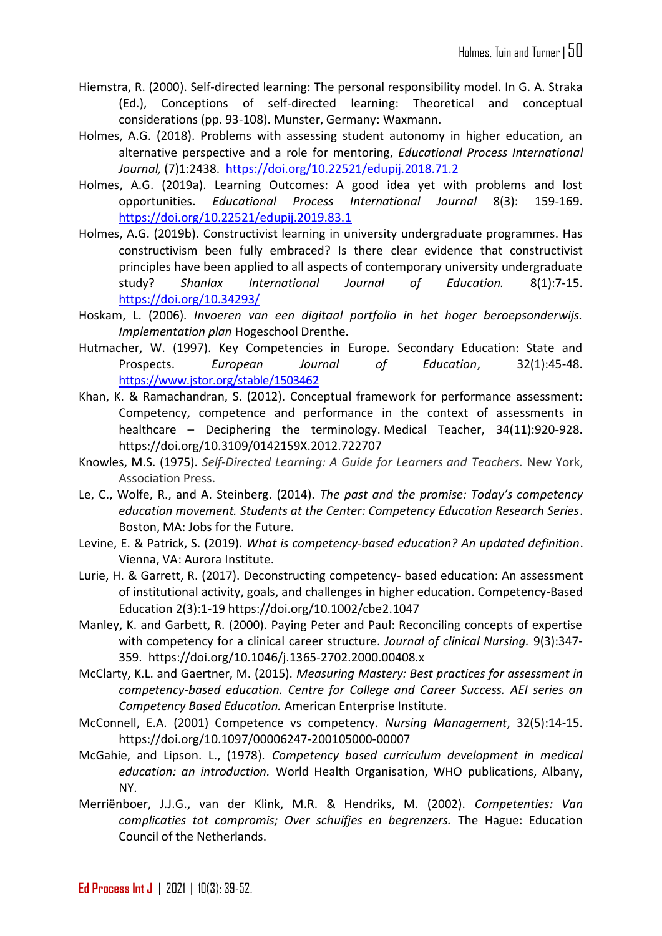- Hiemstra, R. (2000). Self-directed learning: The personal responsibility model. In G. A. Straka (Ed.), Conceptions of self-directed learning: Theoretical and conceptual considerations (pp. 93-108). Munster, Germany: Waxmann.
- Holmes, A.G. (2018). Problems with assessing student autonomy in higher education, an alternative perspective and a role for mentoring, *Educational Process International Journal,* (7)1:2438. <https://doi.org/10.22521/edupij.2018.71.2>
- Holmes, A.G. (2019a). Learning Outcomes: A good idea yet with problems and lost opportunities. *Educational Process International Journal* 8(3): 159-169. <https://doi.org/10.22521/edupij.2019.83.1>
- Holmes, A.G. (2019b). Constructivist learning in university undergraduate programmes. Has constructivism been fully embraced? Is there clear evidence that constructivist principles have been applied to all aspects of contemporary university undergraduate study? *Shanlax International Journal of Education.* 8(1):7-15. <https://doi.org/10.34293/>
- Hoskam, L. (2006). *Invoeren van een digitaal portfolio in het hoger beroepsonderwijs. Implementation plan* Hogeschool Drenthe.
- Hutmacher, W. (1997). Key Competencies in Europe. Secondary Education: State and Prospects. *European Journal of Education*, 32(1):45-48. <https://www.jstor.org/stable/1503462>
- Khan, K. & Ramachandran, S. (2012). Conceptual framework for performance assessment: Competency, competence and performance in the context of assessments in healthcare – Deciphering the terminology. Medical Teacher, 34(11):920-928. https://doi.org[/10.3109/0142159X.2012.722707](https://doi.org/10.3109/0142159x.2012.722707)
- Knowles, M.S. (1975). *Self-Directed Learning: A Guide for Learners and Teachers.* New York, Association Press.
- Le, C., Wolfe, R., and A. Steinberg. (2014). *The past and the promise: Today's competency education movement. Students at the Center: Competency Education Research Series*. Boston, MA: Jobs for the Future.
- Levine, E. & Patrick, S. (2019). *What is competency-based education? An updated definition*. Vienna, VA: Aurora Institute.
- Lurie, H. & Garrett, R. (2017). Deconstructing competency- based education: An assessment of institutional activity, goals, and challenges in higher education. Competency-Based Education 2(3):1-19 <https://doi.org/10.1002/cbe2.1047>
- Manley, K. and Garbett, R. (2000). Paying Peter and Paul: Reconciling concepts of expertise with competency for a clinical career structure. *Journal of clinical Nursing.* 9(3):347- 359. https://doi.org[/10.1046/j.1365-2702.2000.00408.x](https://doi.org/10.1046/j.1365-2702.2000.00408.x)
- McClarty, K.L. and Gaertner, M. (2015). *Measuring Mastery: Best practices for assessment in competency-based education. Centre for College and Career Success. AEI series on Competency Based Education.* American Enterprise Institute.
- McConnell, E.A. (2001) Competence vs competency. *Nursing Management*, 32(5):14-15. https://doi.org[/10.1097/00006247-200105000-00007](https://doi.org/10.1097/00006247-200105000-00007)
- McGahie, and Lipson. L., (1978)*. Competency based curriculum development in medical education: an introduction.* World Health Organisation, WHO publications, Albany, NY.
- Merriënboer, J.J.G., van der Klink, M.R. & Hendriks, M. (2002). *Competenties: Van complicaties tot compromis; Over schuifjes en begrenzers.* The Hague: Education Council of the Netherlands.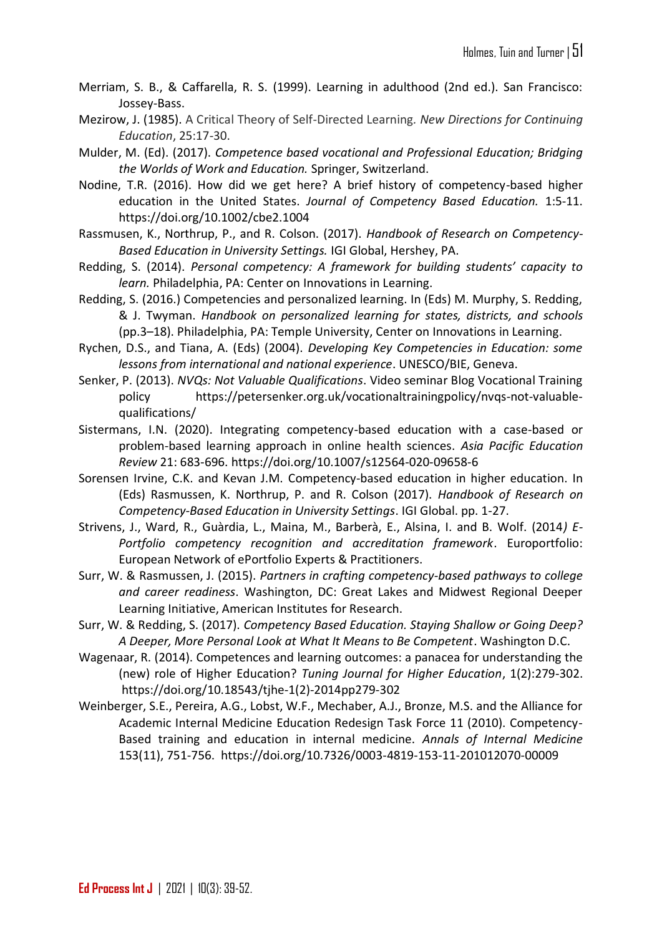- Merriam, S. B., & Caffarella, R. S. (1999). Learning in adulthood (2nd ed.). San Francisco: Jossey-Bass.
- Mezirow, J. (1985). A Critical Theory of Self-Directed Learning*. New Directions for Continuing Education*, 25:17-30.
- Mulder, M. (Ed). (2017). *Competence based vocational and Professional Education; Bridging the Worlds of Work and Education.* Springer, Switzerland.
- Nodine, T.R. (2016). How did we get here? A brief history of competency-based higher education in the United States. *Journal of Competency Based Education.* 1:5-11. <https://doi.org/10.1002/cbe2.1004>
- Rassmusen, K., Northrup, P., and R. Colson. (2017). *Handbook of Research on Competency-Based Education in University Settings.* IGI Global, Hershey, PA.
- Redding, S. (2014). *Personal competency: A framework for building students' capacity to learn.* Philadelphia, PA: Center on Innovations in Learning.
- Redding, S. (2016.) Competencies and personalized learning. In (Eds) M. Murphy, S. Redding, & J. Twyman. *Handbook on personalized learning for states, districts, and schools* (pp.3–18). Philadelphia, PA: Temple University, Center on Innovations in Learning.
- Rychen, D.S., and Tiana, A. (Eds) (2004). *Developing Key Competencies in Education: some lessons from international and national experience*. UNESCO/BIE, Geneva.
- Senker, P. (2013). *NVQs: Not Valuable Qualifications*. Video seminar Blog Vocational Training policy [https://petersenker.org.uk/vocationaltrainingpolicy/nvqs-not-valuable](https://petersenker.org.uk/vocationaltrainingpolicy/nvqs-not-valuable-qualifications/)[qualifications/](https://petersenker.org.uk/vocationaltrainingpolicy/nvqs-not-valuable-qualifications/)
- Sistermans, I.N. (2020). Integrating competency-based education with a case-based or problem-based learning approach in online health sciences. *Asia Pacific Education Review* 21: 683-696.<https://doi.org/10.1007/s12564-020-09658-6>
- Sorensen Irvine, C.K. and Kevan J.M. Competency-based education in higher education. In (Eds) Rasmussen, K. Northrup, P. and R. Colson (2017). *Handbook of Research on Competency-Based Education in University Settings*. IGI Global. pp. 1-27.
- Strivens, J., Ward, R., Guàrdia, L., Maina, M., Barberà, E., Alsina, I. and B. Wolf. (2014*) E-Portfolio competency recognition and accreditation framework*. Europortfolio: European Network of ePortfolio Experts & Practitioners.
- Surr, W. & Rasmussen, J. (2015). *Partners in crafting competency-based pathways to college and career readiness*. Washington, DC: Great Lakes and Midwest Regional Deeper Learning Initiative, American Institutes for Research.
- Surr, W. & Redding, S. (2017). *Competency Based Education. Staying Shallow or Going Deep? A Deeper, More Personal Look at What It Means to Be Competent*. Washington D.C.
- Wagenaar, R. (2014). Competences and learning outcomes: a panacea for understanding the (new) role of Higher Education? *Tuning Journal for Higher Education*, 1(2):279-302. https://doi.org[/10.18543/tjhe-1\(2\)-2014pp279-302](http://dx.doi.org/10.18543/tjhe-1(2)-2014pp279-302)
- Weinberger, S.E., Pereira, A.G., Lobst, W.F., Mechaber, A.J., Bronze, M.S. and the Alliance for Academic Internal Medicine Education Redesign Task Force 11 (2010). Competency-Based training and education in internal medicine. *Annals of Internal Medicine* 153(11), 751-756. https://doi.org[/10.7326/0003-4819-153-11-201012070-00009](https://doi.org/10.7326/0003-4819-153-11-201012070-00009)